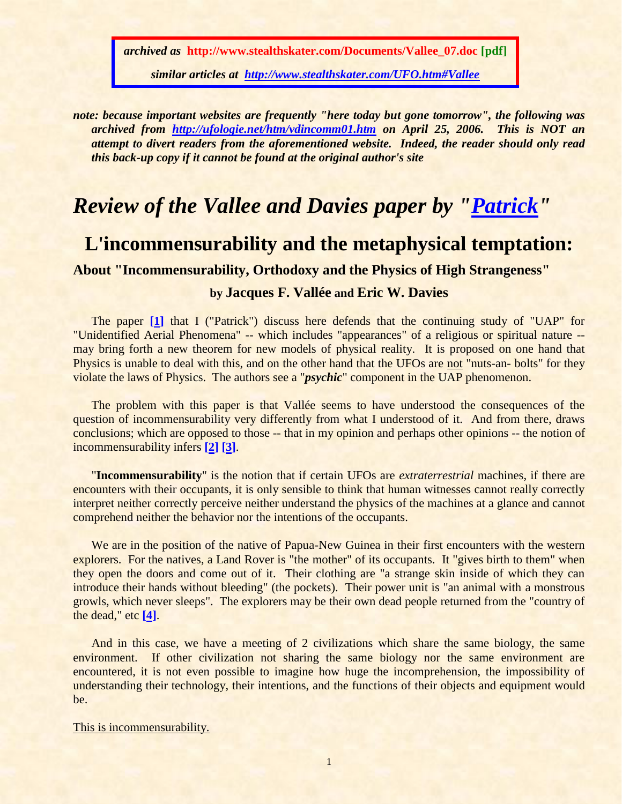*archived as* **http://www.stealthskater.com/Documents/Vallee\_07.doc [pdf]**

*similar articles at <http://www.stealthskater.com/UFO.htm#Vallee>*

*note: because important websites are frequently "here today but gone tomorrow", the following was archived from <http://ufologie.net/htm/vdincomm01.htm> on April 25, 2006. This is NOT an attempt to divert readers from the aforementioned website. Indeed, the reader should only read this back-up copy if it cannot be found at the original author's site*

# *Review of the Vallee and Davies paper by ["Patrick"](http://ufologie.net/indexe.htm)*

## **L'incommensurability and the metaphysical temptation:**

## **About "Incommensurability, Orthodoxy and the Physics of High Strangeness"**

### **by Jacques F. Vallée and Eric W. Davies**

The paper **[\[1\]](#page-7-0)** that I ("Patrick") discuss here defends that the continuing study of "UAP" for "Unidentified Aerial Phenomena" -- which includes "appearances" of a religious or spiritual nature - may bring forth a new theorem for new models of physical reality. It is proposed on one hand that Physics is unable to deal with this, and on the other hand that the UFOs are not "nuts-an- bolts" for they violate the laws of Physics. The authors see a "*psychic*" component in the UAP phenomenon.

The problem with this paper is that Vallée seems to have understood the consequences of the question of incommensurability very differently from what I understood of it. And from there, draws conclusions; which are opposed to those -- that in my opinion and perhaps other opinions -- the notion of incommensurability infers **[\[2\]](#page-7-1) [\[3\]](#page-7-2)**.

"**Incommensurability**" is the notion that if certain UFOs are *extraterrestrial* machines, if there are encounters with their occupants, it is only sensible to think that human witnesses cannot really correctly interpret neither correctly perceive neither understand the physics of the machines at a glance and cannot comprehend neither the behavior nor the intentions of the occupants.

We are in the position of the native of Papua-New Guinea in their first encounters with the western explorers. For the natives, a Land Rover is "the mother" of its occupants. It "gives birth to them" when they open the doors and come out of it. Their clothing are "a strange skin inside of which they can introduce their hands without bleeding" (the pockets). Their power unit is "an animal with a monstrous growls, which never sleeps". The explorers may be their own dead people returned from the "country of the dead," etc **[\[4\]](#page-7-3)**.

And in this case, we have a meeting of 2 civilizations which share the same biology, the same environment. If other civilization not sharing the same biology nor the same environment are encountered, it is not even possible to imagine how huge the incomprehension, the impossibility of understanding their technology, their intentions, and the functions of their objects and equipment would be.

This is incommensurability.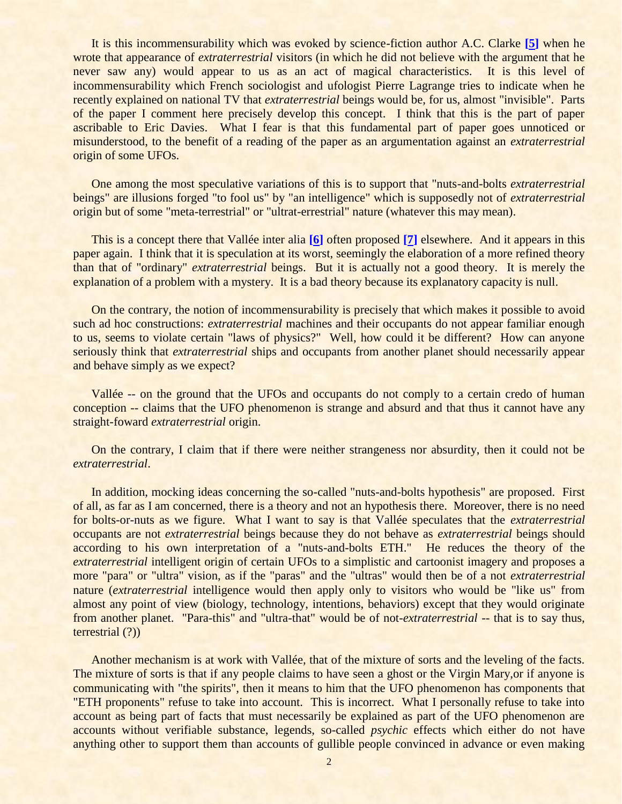It is this incommensurability which was evoked by science-fiction author A.C. Clarke **[\[5\]](#page-7-4)** when he wrote that appearance of *extraterrestrial* visitors (in which he did not believe with the argument that he never saw any) would appear to us as an act of magical characteristics. It is this level of incommensurability which French sociologist and ufologist Pierre Lagrange tries to indicate when he recently explained on national TV that *extraterrestrial* beings would be, for us, almost "invisible". Parts of the paper I comment here precisely develop this concept. I think that this is the part of paper ascribable to Eric Davies. What I fear is that this fundamental part of paper goes unnoticed or misunderstood, to the benefit of a reading of the paper as an argumentation against an *extraterrestrial* origin of some UFOs.

One among the most speculative variations of this is to support that "nuts-and-bolts *extraterrestrial* beings" are illusions forged "to fool us" by "an intelligence" which is supposedly not of *extraterrestrial* origin but of some "meta-terrestrial" or "ultrat-errestrial" nature (whatever this may mean).

This is a concept there that Vallée inter alia **[\[6\]](#page-7-5)** often proposed **[\[7\]](#page-7-6)** elsewhere. And it appears in this paper again. I think that it is speculation at its worst, seemingly the elaboration of a more refined theory than that of "ordinary" *extraterrestrial* beings. But it is actually not a good theory. It is merely the explanation of a problem with a mystery. It is a bad theory because its explanatory capacity is null.

On the contrary, the notion of incommensurability is precisely that which makes it possible to avoid such ad hoc constructions: *extraterrestrial* machines and their occupants do not appear familiar enough to us, seems to violate certain "laws of physics?" Well, how could it be different? How can anyone seriously think that *extraterrestrial* ships and occupants from another planet should necessarily appear and behave simply as we expect?

Vallée -- on the ground that the UFOs and occupants do not comply to a certain credo of human conception -- claims that the UFO phenomenon is strange and absurd and that thus it cannot have any straight-foward *extraterrestrial* origin.

On the contrary, I claim that if there were neither strangeness nor absurdity, then it could not be *extraterrestrial*.

In addition, mocking ideas concerning the so-called "nuts-and-bolts hypothesis" are proposed. First of all, as far as I am concerned, there is a theory and not an hypothesis there. Moreover, there is no need for bolts-or-nuts as we figure. What I want to say is that Vallée speculates that the *extraterrestrial* occupants are not *extraterrestrial* beings because they do not behave as *extraterrestrial* beings should according to his own interpretation of a "nuts-and-bolts ETH." He reduces the theory of the *extraterrestrial* intelligent origin of certain UFOs to a simplistic and cartoonist imagery and proposes a more "para" or "ultra" vision, as if the "paras" and the "ultras" would then be of a not *extraterrestrial* nature (*extraterrestrial* intelligence would then apply only to visitors who would be "like us" from almost any point of view (biology, technology, intentions, behaviors) except that they would originate from another planet. "Para-this" and "ultra-that" would be of not-*extraterrestrial* -- that is to say thus, terrestrial (?))

Another mechanism is at work with Vallée, that of the mixture of sorts and the leveling of the facts. The mixture of sorts is that if any people claims to have seen a ghost or the Virgin Mary,or if anyone is communicating with "the spirits", then it means to him that the UFO phenomenon has components that "ETH proponents" refuse to take into account. This is incorrect. What I personally refuse to take into account as being part of facts that must necessarily be explained as part of the UFO phenomenon are accounts without verifiable substance, legends, so-called *psychic* effects which either do not have anything other to support them than accounts of gullible people convinced in advance or even making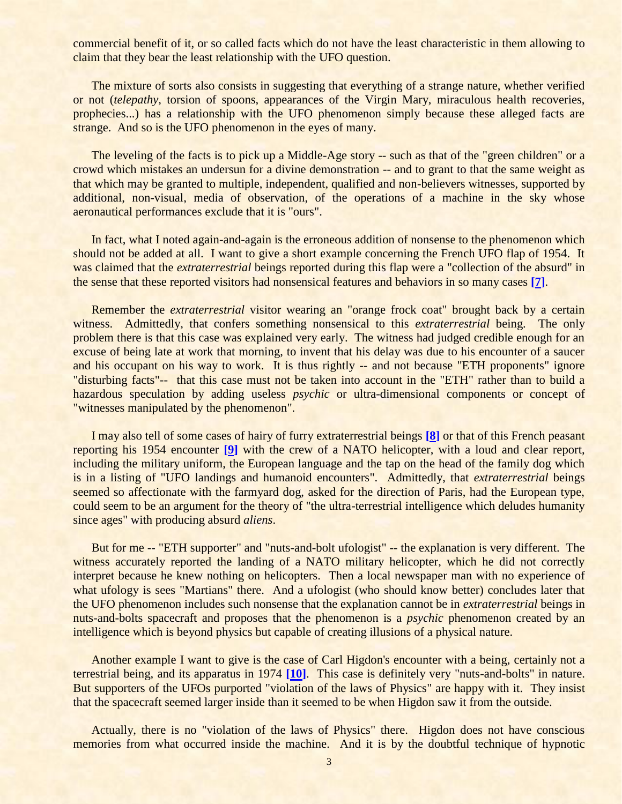commercial benefit of it, or so called facts which do not have the least characteristic in them allowing to claim that they bear the least relationship with the UFO question.

The mixture of sorts also consists in suggesting that everything of a strange nature, whether verified or not (*telepathy*, torsion of spoons, appearances of the Virgin Mary, miraculous health recoveries, prophecies...) has a relationship with the UFO phenomenon simply because these alleged facts are strange. And so is the UFO phenomenon in the eyes of many.

The leveling of the facts is to pick up a Middle-Age story -- such as that of the "green children" or a crowd which mistakes an undersun for a divine demonstration -- and to grant to that the same weight as that which may be granted to multiple, independent, qualified and non-believers witnesses, supported by additional, non-visual, media of observation, of the operations of a machine in the sky whose aeronautical performances exclude that it is "ours".

In fact, what I noted again-and-again is the erroneous addition of nonsense to the phenomenon which should not be added at all. I want to give a short example concerning the French UFO flap of 1954. It was claimed that the *extraterrestrial* beings reported during this flap were a "collection of the absurd" in the sense that these reported visitors had nonsensical features and behaviors in so many cases **[\[7\]](#page-7-6)**.

Remember the *extraterrestrial* visitor wearing an "orange frock coat" brought back by a certain witness. Admittedly, that confers something nonsensical to this *extraterrestrial* being. The only problem there is that this case was explained very early. The witness had judged credible enough for an excuse of being late at work that morning, to invent that his delay was due to his encounter of a saucer and his occupant on his way to work. It is thus rightly -- and not because "ETH proponents" ignore "disturbing facts"-- that this case must not be taken into account in the "ETH" rather than to build a hazardous speculation by adding useless *psychic* or ultra-dimensional components or concept of "witnesses manipulated by the phenomenon".

I may also tell of some cases of hairy of furry extraterrestrial beings **[\[8\]](#page-8-0)** or that of this French peasant reporting his 1954 encounter **[\[9\]](#page-8-1)** with the crew of a NATO helicopter, with a loud and clear report, including the military uniform, the European language and the tap on the head of the family dog which is in a listing of "UFO landings and humanoid encounters". Admittedly, that *extraterrestrial* beings seemed so affectionate with the farmyard dog, asked for the direction of Paris, had the European type, could seem to be an argument for the theory of "the ultra-terrestrial intelligence which deludes humanity since ages" with producing absurd *aliens*.

But for me -- "ETH supporter" and "nuts-and-bolt ufologist" -- the explanation is very different. The witness accurately reported the landing of a NATO military helicopter, which he did not correctly interpret because he knew nothing on helicopters. Then a local newspaper man with no experience of what ufology is sees "Martians" there. And a ufologist (who should know better) concludes later that the UFO phenomenon includes such nonsense that the explanation cannot be in *extraterrestrial* beings in nuts-and-bolts spacecraft and proposes that the phenomenon is a *psychic* phenomenon created by an intelligence which is beyond physics but capable of creating illusions of a physical nature.

Another example I want to give is the case of Carl Higdon's encounter with a being, certainly not a terrestrial being, and its apparatus in 1974 **[\[10\]](#page-8-2)**. This case is definitely very "nuts-and-bolts" in nature. But supporters of the UFOs purported "violation of the laws of Physics" are happy with it. They insist that the spacecraft seemed larger inside than it seemed to be when Higdon saw it from the outside.

Actually, there is no "violation of the laws of Physics" there. Higdon does not have conscious memories from what occurred inside the machine. And it is by the doubtful technique of hypnotic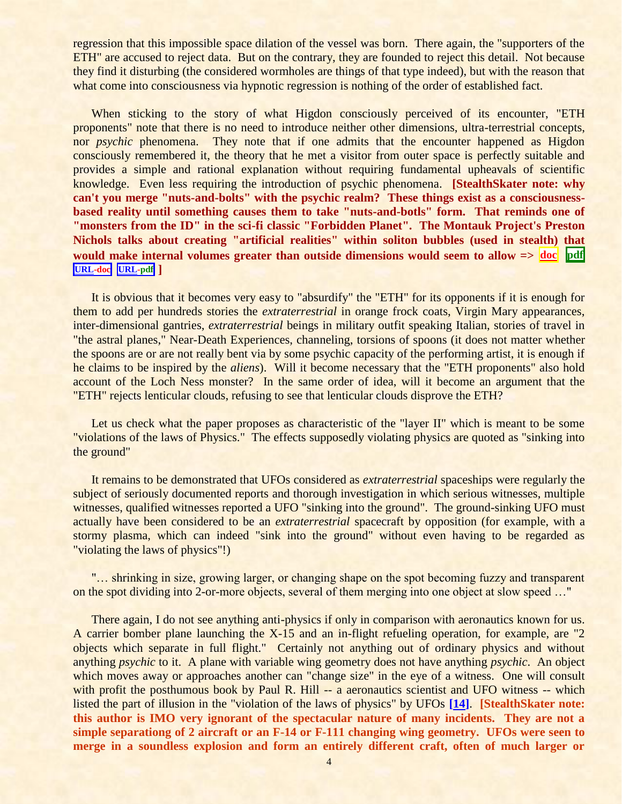regression that this impossible space dilation of the vessel was born. There again, the "supporters of the ETH" are accused to reject data. But on the contrary, they are founded to reject this detail. Not because they find it disturbing (the considered wormholes are things of that type indeed), but with the reason that what come into consciousness via hypnotic regression is nothing of the order of established fact.

When sticking to the story of what Higdon consciously perceived of its encounter, "ETH proponents" note that there is no need to introduce neither other dimensions, ultra-terrestrial concepts, nor *psychic* phenomena. They note that if one admits that the encounter happened as Higdon consciously remembered it, the theory that he met a visitor from outer space is perfectly suitable and provides a simple and rational explanation without requiring fundamental upheavals of scientific knowledge. Even less requiring the introduction of psychic phenomena. **[StealthSkater note: why can't you merge "nuts-and-bolts" with the psychic realm? These things exist as a consciousnessbased reality until something causes them to take "nuts-and-botls" form. That reminds one of "monsters from the ID" in the sci-fi classic "Forbidden Planet". The Montauk Project's Preston Nichols talks about creating "artificial realities" within soliton bubbles (used in stealth) that would make internal volumes greater than outside dimensions would seem to allow => [doc](../../Stealthskater/Documents/Nichols_1.doc) [pdf](../../Stealthskater_PDF/Documents/Nichols_1.pdf)** **[URL-](http://www.stealthskater.com/Documents/Nichols_1.doc)doc [URL-](http://www.stealthskater.com/Documents/Nichols_1.pdf)pdf ]**

It is obvious that it becomes very easy to "absurdify" the "ETH" for its opponents if it is enough for them to add per hundreds stories the *extraterrestrial* in orange frock coats, Virgin Mary appearances, inter-dimensional gantries, *extraterrestrial* beings in military outfit speaking Italian, stories of travel in "the astral planes," Near-Death Experiences, channeling, torsions of spoons (it does not matter whether the spoons are or are not really bent via by some psychic capacity of the performing artist, it is enough if he claims to be inspired by the *aliens*). Will it become necessary that the "ETH proponents" also hold account of the Loch Ness monster? In the same order of idea, will it become an argument that the "ETH" rejects lenticular clouds, refusing to see that lenticular clouds disprove the ETH?

Let us check what the paper proposes as characteristic of the "layer II" which is meant to be some "violations of the laws of Physics." The effects supposedly violating physics are quoted as "sinking into the ground"

It remains to be demonstrated that UFOs considered as *extraterrestrial* spaceships were regularly the subject of seriously documented reports and thorough investigation in which serious witnesses, multiple witnesses, qualified witnesses reported a UFO "sinking into the ground". The ground-sinking UFO must actually have been considered to be an *extraterrestrial* spacecraft by opposition (for example, with a stormy plasma, which can indeed "sink into the ground" without even having to be regarded as "violating the laws of physics"!)

"… shrinking in size, growing larger, or changing shape on the spot becoming fuzzy and transparent on the spot dividing into 2-or-more objects, several of them merging into one object at slow speed …"

There again, I do not see anything anti-physics if only in comparison with aeronautics known for us. A carrier bomber plane launching the X-15 and an in-flight refueling operation, for example, are "2 objects which separate in full flight." Certainly not anything out of ordinary physics and without anything *psychic* to it. A plane with variable wing geometry does not have anything *psychic*. An object which moves away or approaches another can "change size" in the eye of a witness. One will consult with profit the posthumous book by Paul R. Hill -- a aeronautics scientist and UFO witness -- which listed the part of illusion in the "violation of the laws of physics" by UFOs **[\[14\]](#page-8-3)**. **[StealthSkater note: this author is IMO very ignorant of the spectacular nature of many incidents. They are not a simple separationg of 2 aircraft or an F-14 or F-111 changing wing geometry. UFOs were seen to merge in a soundless explosion and form an entirely different craft, often of much larger or**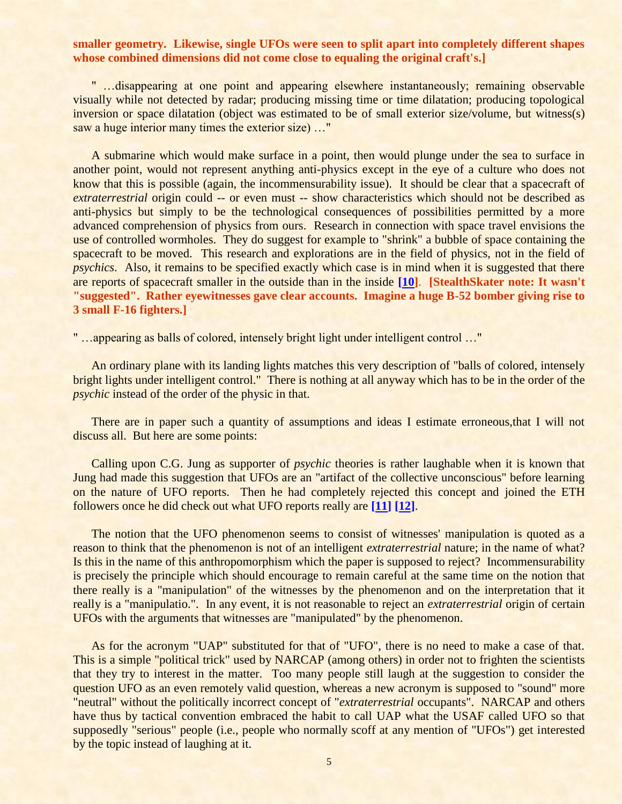#### **smaller geometry. Likewise, single UFOs were seen to split apart into completely different shapes whose combined dimensions did not come close to equaling the original craft's.]**

" …disappearing at one point and appearing elsewhere instantaneously; remaining observable visually while not detected by radar; producing missing time or time dilatation; producing topological inversion or space dilatation (object was estimated to be of small exterior size/volume, but witness(s) saw a huge interior many times the exterior size) ..."

A submarine which would make surface in a point, then would plunge under the sea to surface in another point, would not represent anything anti-physics except in the eye of a culture who does not know that this is possible (again, the incommensurability issue). It should be clear that a spacecraft of *extraterrestrial* origin could -- or even must -- show characteristics which should not be described as anti-physics but simply to be the technological consequences of possibilities permitted by a more advanced comprehension of physics from ours. Research in connection with space travel envisions the use of controlled wormholes. They do suggest for example to "shrink" a bubble of space containing the spacecraft to be moved. This research and explorations are in the field of physics, not in the field of *psychics*. Also, it remains to be specified exactly which case is in mind when it is suggested that there are reports of spacecraft smaller in the outside than in the inside **[\[10\]](#page-8-2)**. **[StealthSkater note: It wasn't "suggested". Rather eyewitnesses gave clear accounts. Imagine a huge B-52 bomber giving rise to 3 small F-16 fighters.]**

" …appearing as balls of colored, intensely bright light under intelligent control …"

An ordinary plane with its landing lights matches this very description of "balls of colored, intensely bright lights under intelligent control." There is nothing at all anyway which has to be in the order of the *psychic* instead of the order of the physic in that.

There are in paper such a quantity of assumptions and ideas I estimate erroneous, that I will not discuss all. But here are some points:

Calling upon C.G. Jung as supporter of *psychic* theories is rather laughable when it is known that Jung had made this suggestion that UFOs are an "artifact of the collective unconscious" before learning on the nature of UFO reports. Then he had completely rejected this concept and joined the ETH followers once he did check out what UFO reports really are **[\[11\]](#page-8-4) [\[12\]](#page-8-5)**.

The notion that the UFO phenomenon seems to consist of witnesses' manipulation is quoted as a reason to think that the phenomenon is not of an intelligent *extraterrestrial* nature; in the name of what? Is this in the name of this anthropomorphism which the paper is supposed to reject? Incommensurability is precisely the principle which should encourage to remain careful at the same time on the notion that there really is a "manipulation" of the witnesses by the phenomenon and on the interpretation that it really is a "manipulatio.". In any event, it is not reasonable to reject an *extraterrestrial* origin of certain UFOs with the arguments that witnesses are "manipulated" by the phenomenon.

As for the acronym "UAP" substituted for that of "UFO", there is no need to make a case of that. This is a simple "political trick" used by NARCAP (among others) in order not to frighten the scientists that they try to interest in the matter. Too many people still laugh at the suggestion to consider the question UFO as an even remotely valid question, whereas a new acronym is supposed to "sound" more "neutral" without the politically incorrect concept of "*extraterrestrial* occupants". NARCAP and others have thus by tactical convention embraced the habit to call UAP what the USAF called UFO so that supposedly "serious" people (i.e., people who normally scoff at any mention of "UFOs") get interested by the topic instead of laughing at it.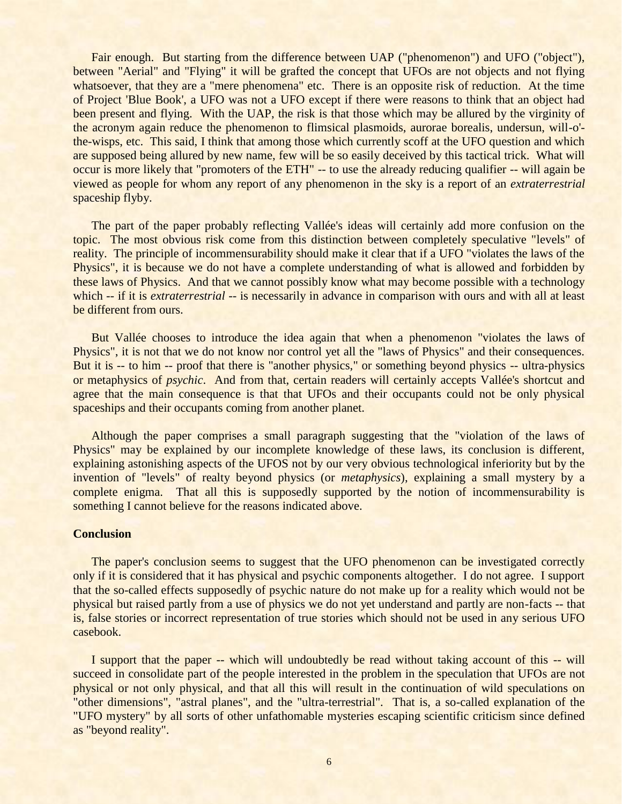Fair enough. But starting from the difference between UAP ("phenomenon") and UFO ("object"), between "Aerial" and "Flying" it will be grafted the concept that UFOs are not objects and not flying whatsoever, that they are a "mere phenomena" etc. There is an opposite risk of reduction. At the time of Project 'Blue Book', a UFO was not a UFO except if there were reasons to think that an object had been present and flying. With the UAP, the risk is that those which may be allured by the virginity of the acronym again reduce the phenomenon to flimsical plasmoids, aurorae borealis, undersun, will-o' the-wisps, etc. This said, I think that among those which currently scoff at the UFO question and which are supposed being allured by new name, few will be so easily deceived by this tactical trick. What will occur is more likely that "promoters of the ETH" -- to use the already reducing qualifier -- will again be viewed as people for whom any report of any phenomenon in the sky is a report of an *extraterrestrial* spaceship flyby.

The part of the paper probably reflecting Vallée's ideas will certainly add more confusion on the topic. The most obvious risk come from this distinction between completely speculative "levels" of reality. The principle of incommensurability should make it clear that if a UFO "violates the laws of the Physics", it is because we do not have a complete understanding of what is allowed and forbidden by these laws of Physics. And that we cannot possibly know what may become possible with a technology which -- if it is *extraterrestrial* -- is necessarily in advance in comparison with ours and with all at least be different from ours.

But Vallée chooses to introduce the idea again that when a phenomenon "violates the laws of Physics", it is not that we do not know nor control yet all the "laws of Physics" and their consequences. But it is -- to him -- proof that there is "another physics," or something beyond physics -- ultra-physics or metaphysics of *psychic*. And from that, certain readers will certainly accepts Vallée's shortcut and agree that the main consequence is that that UFOs and their occupants could not be only physical spaceships and their occupants coming from another planet.

Although the paper comprises a small paragraph suggesting that the "violation of the laws of Physics" may be explained by our incomplete knowledge of these laws, its conclusion is different, explaining astonishing aspects of the UFOS not by our very obvious technological inferiority but by the invention of "levels" of realty beyond physics (or *metaphysics*), explaining a small mystery by a complete enigma. That all this is supposedly supported by the notion of incommensurability is something I cannot believe for the reasons indicated above.

#### **Conclusion**

The paper's conclusion seems to suggest that the UFO phenomenon can be investigated correctly only if it is considered that it has physical and psychic components altogether. I do not agree. I support that the so-called effects supposedly of psychic nature do not make up for a reality which would not be physical but raised partly from a use of physics we do not yet understand and partly are non-facts -- that is, false stories or incorrect representation of true stories which should not be used in any serious UFO casebook.

I support that the paper -- which will undoubtedly be read without taking account of this -- will succeed in consolidate part of the people interested in the problem in the speculation that UFOs are not physical or not only physical, and that all this will result in the continuation of wild speculations on "other dimensions", "astral planes", and the "ultra-terrestrial". That is, a so-called explanation of the "UFO mystery" by all sorts of other unfathomable mysteries escaping scientific criticism since defined as "beyond reality".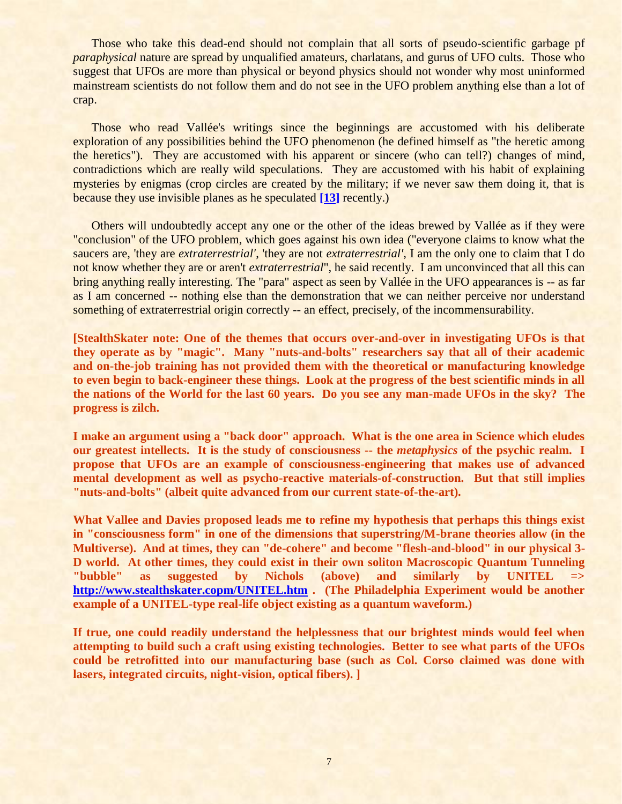Those who take this dead-end should not complain that all sorts of pseudo-scientific garbage pf *paraphysical* nature are spread by unqualified amateurs, charlatans, and gurus of UFO cults. Those who suggest that UFOs are more than physical or beyond physics should not wonder why most uninformed mainstream scientists do not follow them and do not see in the UFO problem anything else than a lot of crap.

Those who read Vallée's writings since the beginnings are accustomed with his deliberate exploration of any possibilities behind the UFO phenomenon (he defined himself as "the heretic among the heretics"). They are accustomed with his apparent or sincere (who can tell?) changes of mind, contradictions which are really wild speculations. They are accustomed with his habit of explaining mysteries by enigmas (crop circles are created by the military; if we never saw them doing it, that is because they use invisible planes as he speculated **[\[13\]](#page-8-6)** recently.)

Others will undoubtedly accept any one or the other of the ideas brewed by Vallée as if they were "conclusion" of the UFO problem, which goes against his own idea ("everyone claims to know what the saucers are, 'they are *extraterrestrial'*, 'they are not *extraterrestrial'*, I am the only one to claim that I do not know whether they are or aren't *extraterrestrial*", he said recently. I am unconvinced that all this can bring anything really interesting. The "para" aspect as seen by Vallée in the UFO appearances is -- as far as I am concerned -- nothing else than the demonstration that we can neither perceive nor understand something of extraterrestrial origin correctly -- an effect, precisely, of the incommensurability.

**[StealthSkater note: One of the themes that occurs over-and-over in investigating UFOs is that they operate as by "magic". Many "nuts-and-bolts" researchers say that all of their academic and on-the-job training has not provided them with the theoretical or manufacturing knowledge to even begin to back-engineer these things. Look at the progress of the best scientific minds in all the nations of the World for the last 60 years. Do you see any man-made UFOs in the sky? The progress is zilch.**

**I make an argument using a "back door" approach. What is the one area in Science which eludes our greatest intellects. It is the study of consciousness -- the** *metaphysics* **of the psychic realm. I propose that UFOs are an example of consciousness-engineering that makes use of advanced mental development as well as psycho-reactive materials-of-construction. But that still implies "nuts-and-bolts" (albeit quite advanced from our current state-of-the-art).**

**What Vallee and Davies proposed leads me to refine my hypothesis that perhaps this things exist in "consciousness form" in one of the dimensions that superstring/M-brane theories allow (in the Multiverse). And at times, they can "de-cohere" and become "flesh-and-blood" in our physical 3- D world. At other times, they could exist in their own soliton Macroscopic Quantum Tunneling "bubble" as suggested by Nichols (above) and similarly by UNITEL => <http://www.stealthskater.copm/UNITEL.htm> . (The Philadelphia Experiment would be another example of a UNITEL-type real-life object existing as a quantum waveform.)**

**If true, one could readily understand the helplessness that our brightest minds would feel when attempting to build such a craft using existing technologies. Better to see what parts of the UFOs could be retrofitted into our manufacturing base (such as Col. Corso claimed was done with lasers, integrated circuits, night-vision, optical fibers). ]**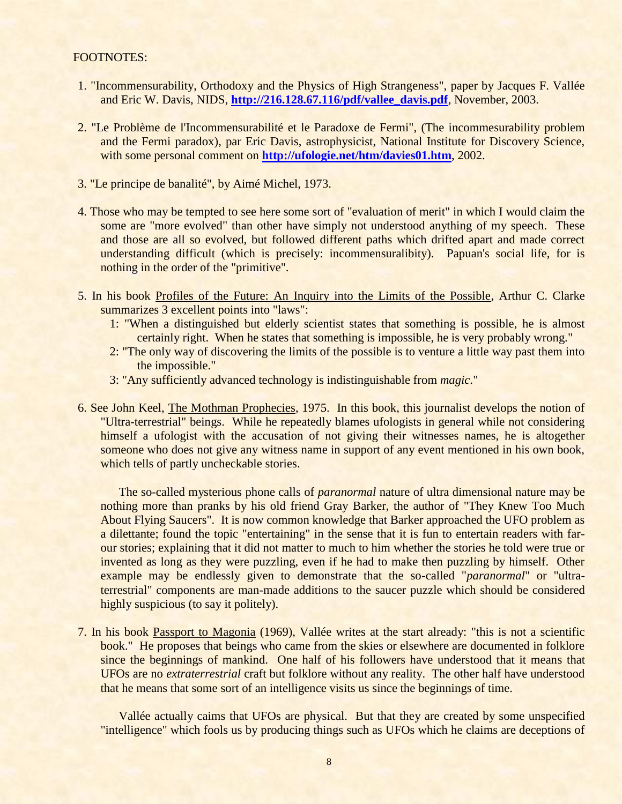#### FOOTNOTES:

- <span id="page-7-0"></span>1. "Incommensurability, Orthodoxy and the Physics of High Strangeness", paper by Jacques F. Vallée and Eric W. Davis, NIDS, **[http://216.128.67.116/pdf/vallee\\_davis.pdf](http://216.128.67.116/pdf/vallee_davis.pdf)**, November, 2003.
- <span id="page-7-1"></span>2. "Le Problème de l'Incommensurabilité et le Paradoxe de Fermi", (The incommesurability problem and the Fermi paradox), par Eric Davis, astrophysicist, National Institute for Discovery Science, with some personal comment on **<http://ufologie.net/htm/davies01.htm>**, 2002.
- <span id="page-7-2"></span>3. "Le principe de banalité", by Aimé Michel, 1973.
- <span id="page-7-3"></span>4. Those who may be tempted to see here some sort of "evaluation of merit" in which I would claim the some are "more evolved" than other have simply not understood anything of my speech. These and those are all so evolved, but followed different paths which drifted apart and made correct understanding difficult (which is precisely: incommensuralibity). Papuan's social life, for is nothing in the order of the "primitive".
- <span id="page-7-4"></span>5. In his book Profiles of the Future: An Inquiry into the Limits of the Possible, Arthur C. Clarke summarizes 3 excellent points into "laws":
	- 1: "When a distinguished but elderly scientist states that something is possible, he is almost certainly right. When he states that something is impossible, he is very probably wrong."
	- 2: "The only way of discovering the limits of the possible is to venture a little way past them into the impossible."
	- 3: "Any sufficiently advanced technology is indistinguishable from *magic*."
- <span id="page-7-5"></span>6. See John Keel, The Mothman Prophecies, 1975. In this book, this journalist develops the notion of "Ultra-terrestrial" beings. While he repeatedly blames ufologists in general while not considering himself a ufologist with the accusation of not giving their witnesses names, he is altogether someone who does not give any witness name in support of any event mentioned in his own book, which tells of partly uncheckable stories.

The so-called mysterious phone calls of *paranormal* nature of ultra dimensional nature may be nothing more than pranks by his old friend Gray Barker, the author of "They Knew Too Much About Flying Saucers". It is now common knowledge that Barker approached the UFO problem as a dilettante; found the topic "entertaining" in the sense that it is fun to entertain readers with farour stories; explaining that it did not matter to much to him whether the stories he told were true or invented as long as they were puzzling, even if he had to make then puzzling by himself. Other example may be endlessly given to demonstrate that the so-called "*paranormal*" or "ultraterrestrial" components are man-made additions to the saucer puzzle which should be considered highly suspicious (to say it politely).

<span id="page-7-6"></span>7. In his book Passport to Magonia (1969), Vallée writes at the start already: "this is not a scientific book." He proposes that beings who came from the skies or elsewhere are documented in folklore since the beginnings of mankind. One half of his followers have understood that it means that UFOs are no *extraterrestrial* craft but folklore without any reality. The other half have understood that he means that some sort of an intelligence visits us since the beginnings of time.

Vallée actually caims that UFOs are physical. But that they are created by some unspecified "intelligence" which fools us by producing things such as UFOs which he claims are deceptions of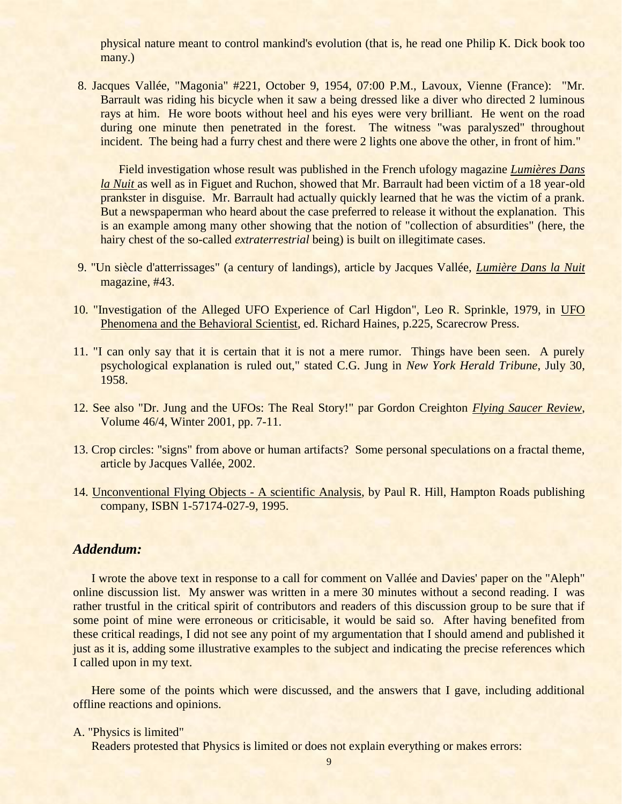physical nature meant to control mankind's evolution (that is, he read one Philip K. Dick book too many.)

<span id="page-8-0"></span>8. Jacques Vallée, "Magonia" #221, October 9, 1954, 07:00 P.M., Lavoux, Vienne (France): "Mr. Barrault was riding his bicycle when it saw a being dressed like a diver who directed 2 luminous rays at him. He wore boots without heel and his eyes were very brilliant. He went on the road during one minute then penetrated in the forest. The witness "was paralyszed" throughout incident. The being had a furry chest and there were 2 lights one above the other, in front of him."

Field investigation whose result was published in the French ufology magazine *Lumières Dans la Nuit* as well as in Figuet and Ruchon, showed that Mr. Barrault had been victim of a 18 year-old prankster in disguise. Mr. Barrault had actually quickly learned that he was the victim of a prank. But a newspaperman who heard about the case preferred to release it without the explanation. This is an example among many other showing that the notion of "collection of absurdities" (here, the hairy chest of the so-called *extraterrestrial* being) is built on illegitimate cases.

- <span id="page-8-1"></span>9. "Un siècle d'atterrissages" (a century of landings), article by Jacques Vallée, *Lumière Dans la Nuit* magazine, #43.
- <span id="page-8-2"></span>10. "Investigation of the Alleged UFO Experience of Carl Higdon", Leo R. Sprinkle, 1979, in UFO Phenomena and the Behavioral Scientist, ed. Richard Haines, p.225, Scarecrow Press.
- <span id="page-8-4"></span>11. "I can only say that it is certain that it is not a mere rumor. Things have been seen. A purely psychological explanation is ruled out," stated C.G. Jung in *New York Herald Tribune*, July 30, 1958.
- <span id="page-8-5"></span>12. See also "Dr. Jung and the UFOs: The Real Story!" par Gordon Creighton *Flying Saucer Review*, Volume 46/4, Winter 2001, pp. 7-11.
- <span id="page-8-6"></span>13. Crop circles: "signs" from above or human artifacts? Some personal speculations on a fractal theme, article by Jacques Vallée, 2002.
- <span id="page-8-3"></span>14. Unconventional Flying Objects - A scientific Analysis, by Paul R. Hill, Hampton Roads publishing company, ISBN 1-57174-027-9, 1995.

### *Addendum:*

I wrote the above text in response to a call for comment on Vallée and Davies' paper on the "Aleph" online discussion list. My answer was written in a mere 30 minutes without a second reading. I was rather trustful in the critical spirit of contributors and readers of this discussion group to be sure that if some point of mine were erroneous or criticisable, it would be said so. After having benefited from these critical readings, I did not see any point of my argumentation that I should amend and published it just as it is, adding some illustrative examples to the subject and indicating the precise references which I called upon in my text.

Here some of the points which were discussed, and the answers that I gave, including additional offline reactions and opinions.

A. "Physics is limited"

Readers protested that Physics is limited or does not explain everything or makes errors: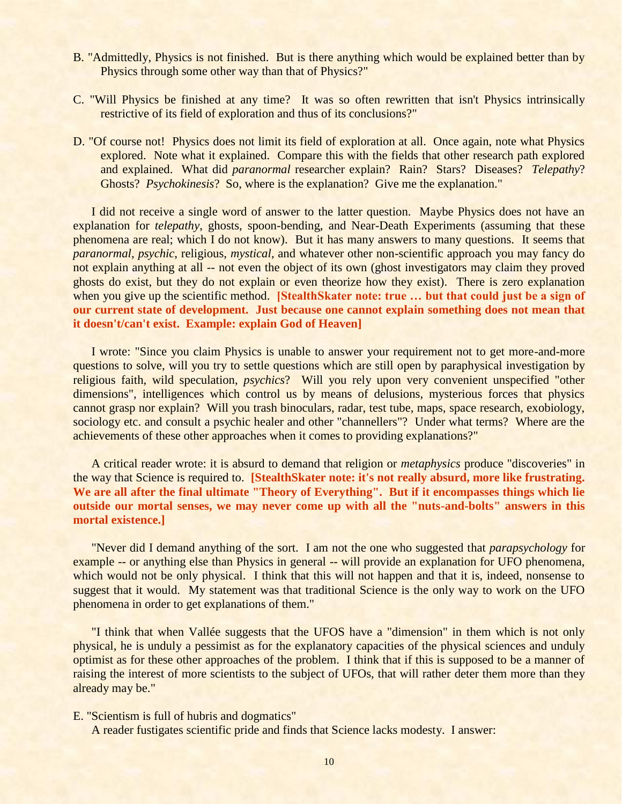- B. "Admittedly, Physics is not finished. But is there anything which would be explained better than by Physics through some other way than that of Physics?"
- C. "Will Physics be finished at any time? It was so often rewritten that isn't Physics intrinsically restrictive of its field of exploration and thus of its conclusions?"
- D. "Of course not! Physics does not limit its field of exploration at all. Once again, note what Physics explored. Note what it explained. Compare this with the fields that other research path explored and explained. What did *paranormal* researcher explain? Rain? Stars? Diseases? *Telepathy*? Ghosts? *Psychokinesis*? So, where is the explanation? Give me the explanation."

I did not receive a single word of answer to the latter question. Maybe Physics does not have an explanation for *telepathy*, ghosts, spoon-bending, and Near-Death Experiments (assuming that these phenomena are real; which I do not know). But it has many answers to many questions. It seems that *paranormal*, *psychic*, religious, *mystical*, and whatever other non-scientific approach you may fancy do not explain anything at all -- not even the object of its own (ghost investigators may claim they proved ghosts do exist, but they do not explain or even theorize how they exist). There is zero explanation when you give up the scientific method. **[StealthSkater note: true ... but that could just be a sign of our current state of development. Just because one cannot explain something does not mean that it doesn't/can't exist. Example: explain God of Heaven]**

I wrote: "Since you claim Physics is unable to answer your requirement not to get more-and-more questions to solve, will you try to settle questions which are still open by paraphysical investigation by religious faith, wild speculation, *psychics*? Will you rely upon very convenient unspecified "other dimensions", intelligences which control us by means of delusions, mysterious forces that physics cannot grasp nor explain? Will you trash binoculars, radar, test tube, maps, space research, exobiology, sociology etc. and consult a psychic healer and other "channellers"? Under what terms? Where are the achievements of these other approaches when it comes to providing explanations?"

A critical reader wrote: it is absurd to demand that religion or *metaphysics* produce "discoveries" in the way that Science is required to. **[StealthSkater note: it's not really absurd, more like frustrating. We are all after the final ultimate "Theory of Everything". But if it encompasses things which lie outside our mortal senses, we may never come up with all the "nuts-and-bolts" answers in this mortal existence.]**

"Never did I demand anything of the sort. I am not the one who suggested that *parapsychology* for example -- or anything else than Physics in general -- will provide an explanation for UFO phenomena, which would not be only physical. I think that this will not happen and that it is, indeed, nonsense to suggest that it would. My statement was that traditional Science is the only way to work on the UFO phenomena in order to get explanations of them."

"I think that when Vallée suggests that the UFOS have a "dimension" in them which is not only physical, he is unduly a pessimist as for the explanatory capacities of the physical sciences and unduly optimist as for these other approaches of the problem. I think that if this is supposed to be a manner of raising the interest of more scientists to the subject of UFOs, that will rather deter them more than they already may be."

E. "Scientism is full of hubris and dogmatics"

A reader fustigates scientific pride and finds that Science lacks modesty. I answer: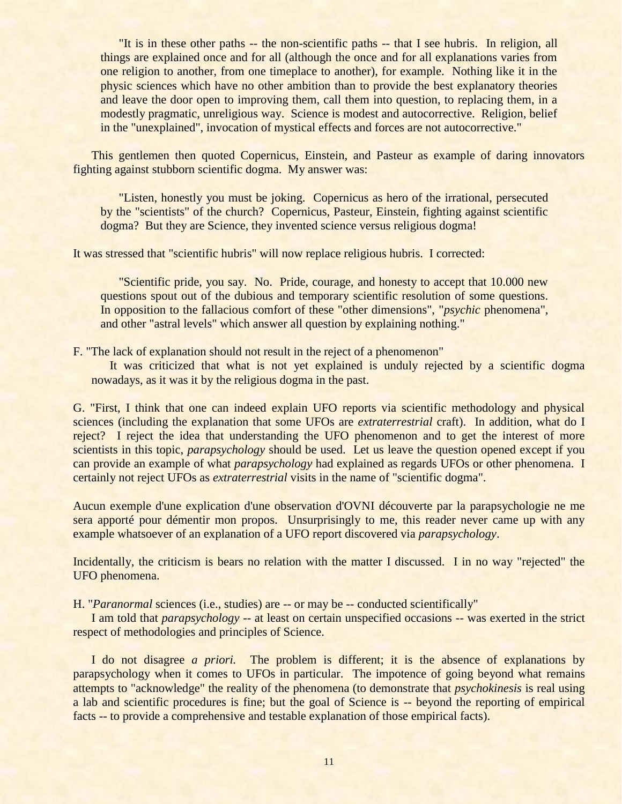"It is in these other paths -- the non-scientific paths -- that I see hubris. In religion, all things are explained once and for all (although the once and for all explanations varies from one religion to another, from one timeplace to another), for example. Nothing like it in the physic sciences which have no other ambition than to provide the best explanatory theories and leave the door open to improving them, call them into question, to replacing them, in a modestly pragmatic, unreligious way. Science is modest and autocorrective. Religion, belief in the "unexplained", invocation of mystical effects and forces are not autocorrective."

This gentlemen then quoted Copernicus, Einstein, and Pasteur as example of daring innovators fighting against stubborn scientific dogma. My answer was:

"Listen, honestly you must be joking. Copernicus as hero of the irrational, persecuted by the "scientists" of the church? Copernicus, Pasteur, Einstein, fighting against scientific dogma? But they are Science, they invented science versus religious dogma!

It was stressed that "scientific hubris" will now replace religious hubris. I corrected:

"Scientific pride, you say. No. Pride, courage, and honesty to accept that 10.000 new questions spout out of the dubious and temporary scientific resolution of some questions. In opposition to the fallacious comfort of these "other dimensions", "*psychic* phenomena", and other "astral levels" which answer all question by explaining nothing."

F. "The lack of explanation should not result in the reject of a phenomenon"

It was criticized that what is not yet explained is unduly rejected by a scientific dogma nowadays, as it was it by the religious dogma in the past.

G. "First, I think that one can indeed explain UFO reports via scientific methodology and physical sciences (including the explanation that some UFOs are *extraterrestrial* craft). In addition, what do I reject? I reject the idea that understanding the UFO phenomenon and to get the interest of more scientists in this topic, *parapsychology* should be used. Let us leave the question opened except if you can provide an example of what *parapsychology* had explained as regards UFOs or other phenomena. I certainly not reject UFOs as *extraterrestrial* visits in the name of "scientific dogma".

Aucun exemple d'une explication d'une observation d'OVNI découverte par la parapsychologie ne me sera apporté pour démentir mon propos. Unsurprisingly to me, this reader never came up with any example whatsoever of an explanation of a UFO report discovered via *parapsychology*.

Incidentally, the criticism is bears no relation with the matter I discussed. I in no way "rejected" the UFO phenomena.

H. "*Paranormal* sciences (i.e., studies) are -- or may be -- conducted scientifically"

I am told that *parapsychology* -- at least on certain unspecified occasions -- was exerted in the strict respect of methodologies and principles of Science.

I do not disagree *a priori.* The problem is different; it is the absence of explanations by parapsychology when it comes to UFOs in particular. The impotence of going beyond what remains attempts to "acknowledge" the reality of the phenomena (to demonstrate that *psychokinesis* is real using a lab and scientific procedures is fine; but the goal of Science is -- beyond the reporting of empirical facts -- to provide a comprehensive and testable explanation of those empirical facts).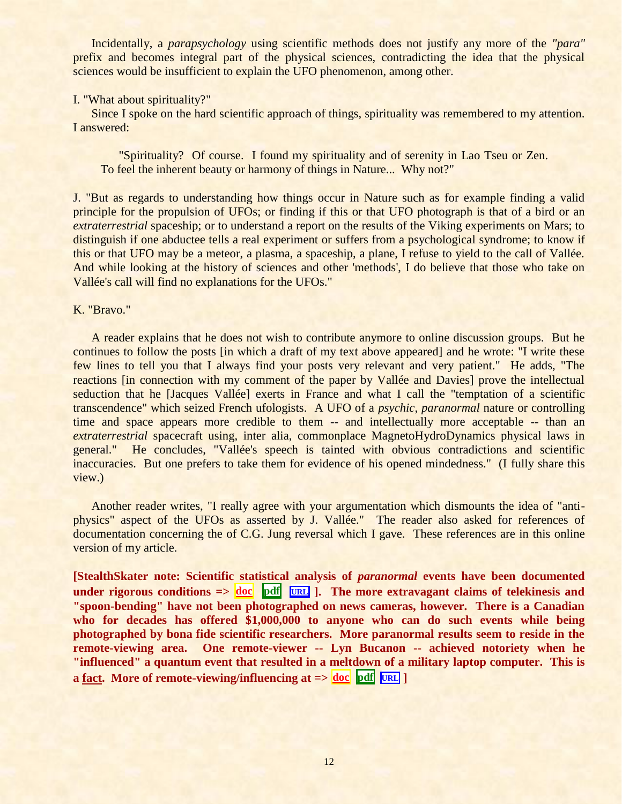Incidentally, a *parapsychology* using scientific methods does not justify any more of the *"para"* prefix and becomes integral part of the physical sciences, contradicting the idea that the physical sciences would be insufficient to explain the UFO phenomenon, among other.

#### I. "What about spirituality?"

Since I spoke on the hard scientific approach of things, spirituality was remembered to my attention. I answered:

"Spirituality? Of course. I found my spirituality and of serenity in Lao Tseu or Zen. To feel the inherent beauty or harmony of things in Nature... Why not?"

J. "But as regards to understanding how things occur in Nature such as for example finding a valid principle for the propulsion of UFOs; or finding if this or that UFO photograph is that of a bird or an *extraterrestrial* spaceship; or to understand a report on the results of the Viking experiments on Mars; to distinguish if one abductee tells a real experiment or suffers from a psychological syndrome; to know if this or that UFO may be a meteor, a plasma, a spaceship, a plane, I refuse to yield to the call of Vallée. And while looking at the history of sciences and other 'methods', I do believe that those who take on Vallée's call will find no explanations for the UFOs."

#### K. "Bravo."

A reader explains that he does not wish to contribute anymore to online discussion groups. But he continues to follow the posts [in which a draft of my text above appeared] and he wrote: "I write these few lines to tell you that I always find your posts very relevant and very patient." He adds, "The reactions [in connection with my comment of the paper by Vallée and Davies] prove the intellectual seduction that he [Jacques Vallée] exerts in France and what I call the "temptation of a scientific transcendence" which seized French ufologists. A UFO of a *psychic*, *paranormal* nature or controlling time and space appears more credible to them -- and intellectually more acceptable -- than an *extraterrestrial* spacecraft using, inter alia, commonplace MagnetoHydroDynamics physical laws in general." He concludes, "Vallée's speech is tainted with obvious contradictions and scientific inaccuracies. But one prefers to take them for evidence of his opened mindedness." (I fully share this view.)

Another reader writes, "I really agree with your argumentation which dismounts the idea of "antiphysics" aspect of the UFOs as asserted by J. Vallée." The reader also asked for references of documentation concerning the of C.G. Jung reversal which I gave. These references are in this online version of my article.

**[StealthSkater note: Scientific statistical analysis of** *paranormal* **events have been documented under rigorous conditions**  $\Rightarrow$   $\frac{d\alpha}{d\alpha}$  **[pdf](../../Stealthskater_PDF/Science.pdf#Emergent)**  $\frac{d\alpha}{d\alpha}$  **].** The more extravagant claims of telekinesis and **"spoon-bending" have not been photographed on news cameras, however. There is a Canadian who for decades has offered \$1,000,000 to anyone who can do such events while being photographed by bona fide scientific researchers. More paranormal results seem to reside in the remote-viewing area. One remote-viewer -- Lyn Bucanon -- achieved notoriety when he "influenced" a quantum event that resulted in a meltdown of a military laptop computer. This is a** fact. More of remote-viewing/influencing at  $\Rightarrow$   $\frac{d}{dx}$  **[doc](../../Stealthskater/PX.doc#RV)**  $\frac{d}{dx}$   $\frac{d}{dx}$  **D**